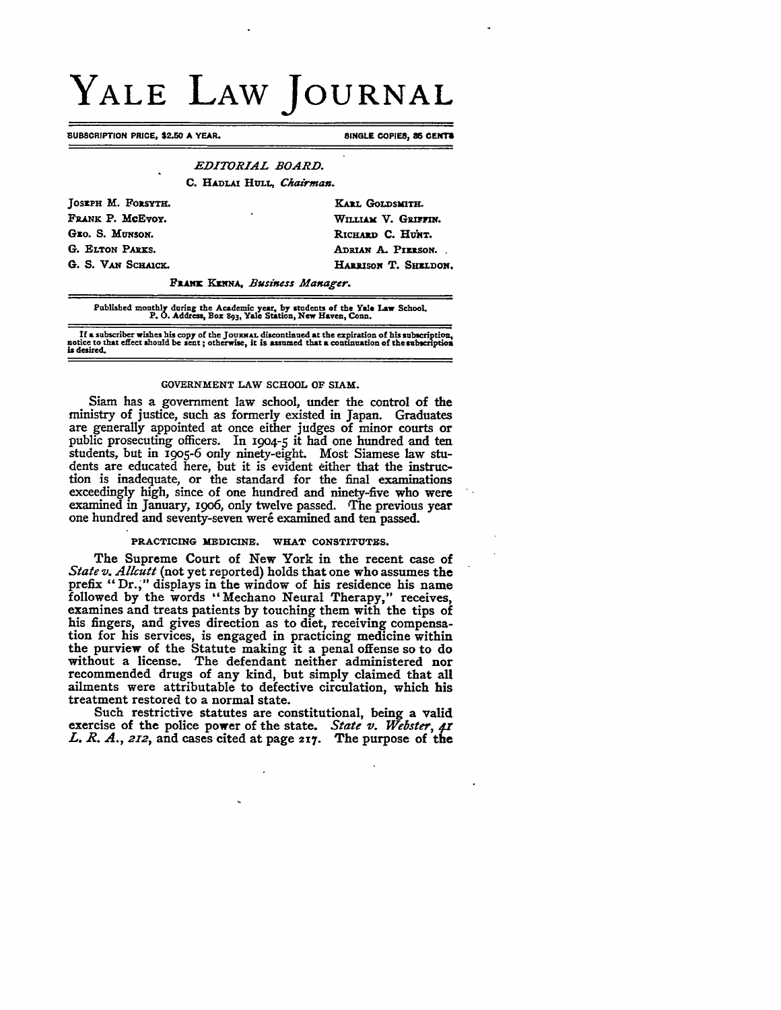# **YALE LAW JOURNAL**

**SUBSCRIPTION PRICE, \$2.50 A YEAR. 8INGLE COPIES, 85 CENTS**

## *EDITORIAL BOARD.* C. HADLAI HULL, Chairman.

| JOSEPH M. FORSYTH.                 | KARL GOLDSMITH.     |
|------------------------------------|---------------------|
| $\blacksquare$<br>Frank P. McEvoy. | WILLIAM V. GRIFFIN. |
| GEO. S. MUNSON.                    | RICHARD C. HUNT.    |
| G. ELTON PARKS.                    | ADRIAN A. PIERSON.  |
| G. S. VAN SCHAICK.                 | HARRISON T. SHRLDON |
|                                    |                     |

*FxIIK* **KENNA,** *Business Maxager.*

**Published monthly during the Academic year, by students of the Yale Law School P.O. Address, Box 893, Yale Station, New Haven, Conn.**

If a subscriber wishes his copy of the JOURNAL discontinued at the expiration of his subscription, notice to that effect should be sent; otherwise, it is assumed that a continuation of the subscription is desired.

#### **GOVERNMENT LAW SCHOOL OF SIAM.**

Siam has a government law school, under the control of the ministry of justice, such as formerly existed in Japan. Graduates are generally appointed at once either judges of minor courts or public prosecuting officers. In **1904-5** it had one hundred **and** ten students, but in i9o5-6 only ninety-eight. Most Siamese law students are educated here, but it is evident either that the instruction is inadequate, or the standard for the final examinations exceedingly high, since of one hundred and ninety-five who were examined in January, I9o6, only twelve passed. The previous year one hundred and seventy-seven were examined and ten passed.

#### PRACTICING MEDICINE. WHAT CONSTITUTES.

The Supreme Court of New York in the recent case of *State v. Allcutt* (not yet reported) holds that one who assumes the prefix "Dr.," displays in the window of his residence his name followed **by** the words "Mechano Neural Therapy," receives, examines and treats patients **by** touching them with the tips of his fingers, and gives direction as to diet, receiving compensation for his services, is engaged in practicing medicine within the purview of the Statute making it a penal offense so to do without a license. The defendant neither administered nor recommended drugs of any kind, but simply claimed that **all** ailments were attributable to defective circulation, which his treatment restored to a normal state.

Such restrictive statutes are constitutional, being a valid exercise of the police power of the state. *State v. Webster, 4z* L.R .*A.,* **212,** and cases cited at page **2x7.** The purpose of the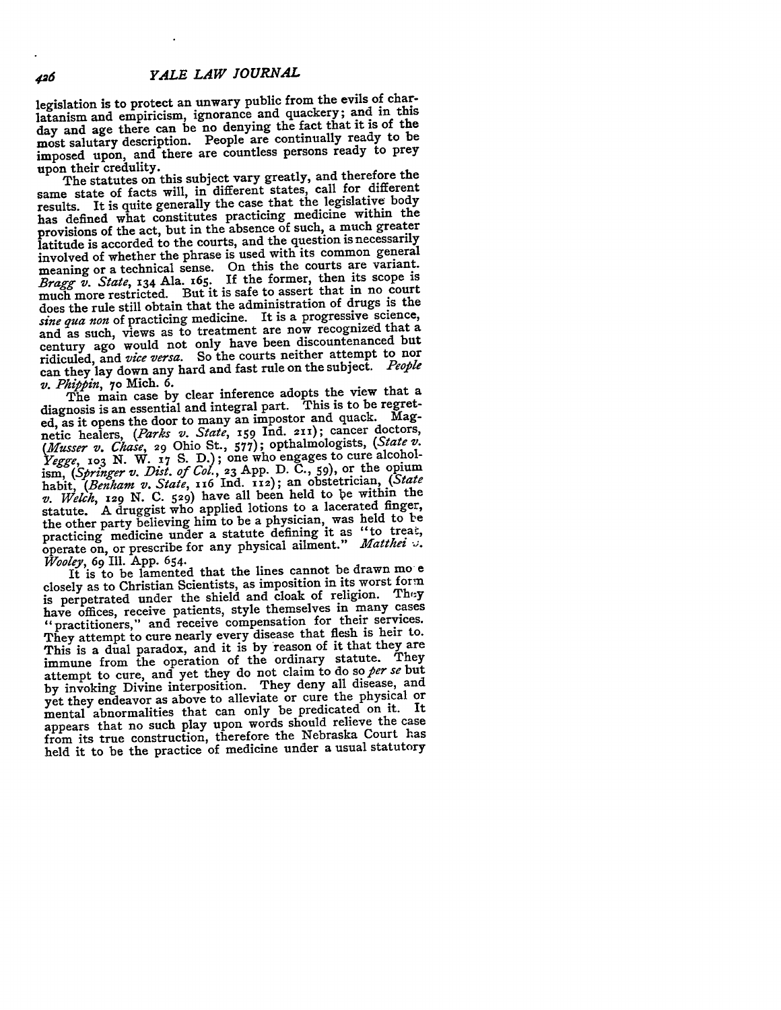legislation is to protect an unwary public from the evils of charlatanism and empiricism, ignorance and quackery; and in this day and age there can be no denying the fact that it is of the most salutary description. People are continually ready to be<br>most salutary description. People are continually ready to prev imposed upon, and there are countless persons ready to prey upon their credulity.

The statutes on this subject vary greatly, and therefore the same state of facts will, in different states, call for different results. It is quite generally the case that the legislative body results. It is quite generally allow the medicine within the<br>has defined what constitutes practicing medicine within the provisions of the act, but in the absence of such, a much greater latitude is accorded to the courts, and the question is necessarily involved of whether the phrase is used with its common general meaning or a technical sense. On this the courts are variant. *Bragg v. State,* **134 Ala. 165.** If the former, then its scope is much more restricted. But it is safe to assert that in no court does the rule still obtain that the administration of drugs is the *sine qua non* of practicing medicine. It is a progressive science, and as such, views as to treatment are now recognized that a century ago would not only have been discountenanced but ridiculed, and *vice versa.* So the courts neither attempt to nor can they lay down any hard and fast rule on the subject. *People v. Phippin, 7o* Mich. **6.**

The main case by clear inference adopts the view that a diagnosis is an essential and integral part. This is to be regreted, as it opens the door to many an impostor and quack. Magnetic healers, *(Parks v. State,* **159** Ind. **2!i);** cancer doctors, *(lusser v. Chase,* **29** Ohio St., **577);** opthalmologists, *(State v. Yegge, 103* N. W. **17** S. **D.);** one who engages to cure alcoholism, *(Springer v. Dist. of Col.,* **23** App. D. C., **59),** or **the** opium habit, *(Benham v. State,* **ii6** Ind. **112);** an obstetrician, *(State v. Welch*, *z29* **N.** C. 529) have all been held to be within the statute. **A** druggist who applied lotions to a lacerated finger, the other party believing him to be a physician, was held to be practicing medicine under a statute defining it as "to treat, operate on, or prescribe for any physical ailment." *Matthei Wooley,* 69 Ill. App. 654.

It is to be lamented that the lines cannot be drawn mo e closely as to Christian Scientists, as imposition in its worst form is perpetrated under the shield and cloak of religion. They have offices, receive patients, style themselves in many cases "practitioners," and receive compensation for their services. They attempt to cure nearly every disease that flesh is heir to. This is a dual paradox, and it is by reason of it that they are immune from the operation of the ordinary statute. They attempt to cure, and yet they do not claim to do so *per se* but by invoking Divine interposition. They deny all disease, and yet they endeavor as above to alleviate or cure the physical or mental abnormalities that can only be predicated on it. It appears that no such play upon words should relieve the case from its true construction, therefore the Nebraska Court has held it to be the practice of medicine under a usual statutory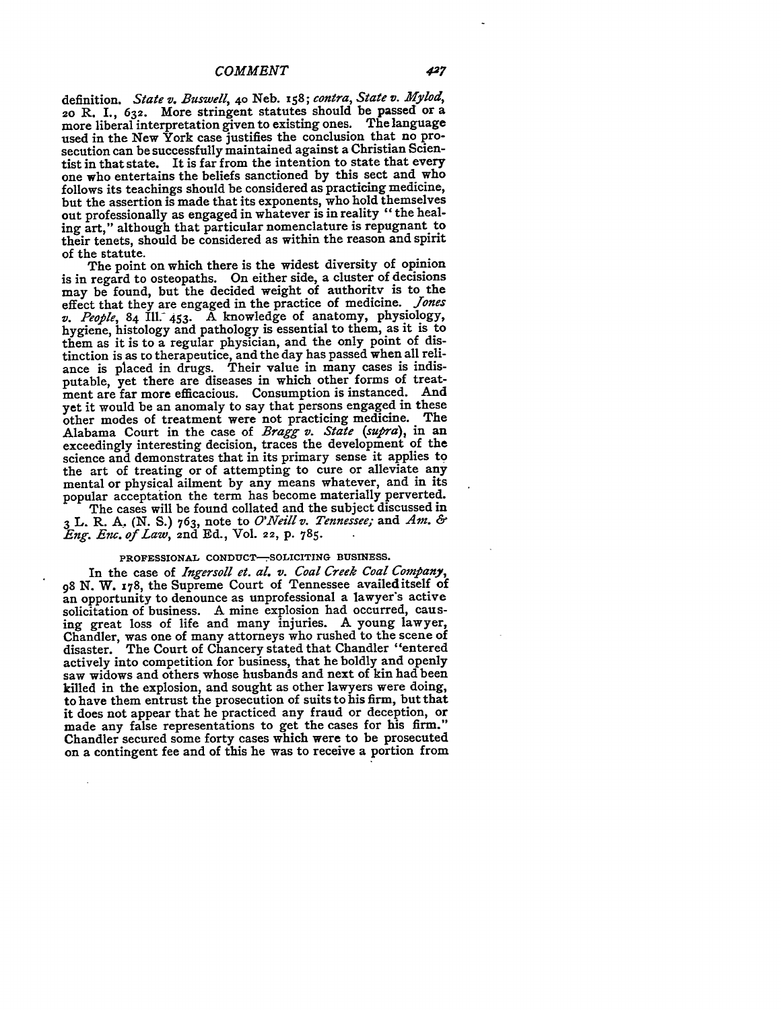definition. *State v. Buswell,* **4o** Neb. **158;** *contra, State v. Mylod,* **2o** R. **I., 632.** More stringent statutes should be passed or a more liberal interpretation given to existing ones. The language used in the New York case justifies the conclusion that no prosecution can be successfully maintained against a Christian Scientist in that state. It is far from the intention to state that every one who entertains the beliefs sanctioned **by** this sect and who follows its teachings should be considered as practicing medicine, but the assertion is made that its exponents, who hold themselves out professionally as engaged in whatever is in reality "the healing art," although that particular nomenclature is repugnant to their tenets, should be considered as within the reason and spirit of the statute.

The point on which there is the widest diversity of opinion is in regard to osteopaths. On either side, a cluster of decisions may be found, but the decided weight of authoritv is to the effect that they are engaged in the practice of medicine. *Jones v. People,* 84 Ill. 453. A knowledge of anatomy, physiology, hygiene, histology and pathology is essential to them, as it is to them as it is to a regular physician, and the only point of distinction is as to therapeutice, and the day has passed when all reliance is placed in drugs. Their value in many cases is indisputable, yet there are diseases in which other forms of treatment are far more efficacious. Consumption is instanced. And yet it would be an anomaly to say that persons engaged in these other modes of treatment were not practicing medicine. The Alabama Court in the case of *Bragg v. State (supra),* in an exceedingly interesting decision, traces the development of the science and demonstrates that in its primary sense it applies to the art of treating or of attempting to cure or alleviate any mental or physical ailment by any means whatever, and in its popular acceptation the term has become materially perverted.

The cases will be found collated and the subject discussed in **<sup>3</sup>**L. R. **A. (N. S.)** 763, note to *O'Neill v. Tennessee;* and *Am. & Eng. Enc. of Law,* 2nd Ed., Vol. **22,** p. 785.

### **PROFESSIONAL CONDUCT--SOLICITING BUSINESS.**

In the case of *Ingersoll et. al. v. Coal Creek Coal Company,* **98** N. W. **178,** the Supreme Court of Tennessee availed itself of an opportunity to denounce as unprofessional a lawyer's active solicitation of business. A mine explosion had occurred, causing great loss of life and many injuries. A young lawyer, Chandler, was one of many attorneys who rushed to the scene of disaster. The Court of Chancery stated that Chandler "entered actively into competition for business, that he boldly and openly saw widows and others whose husbands and next of kin had been killed in the explosion, and sought as other lawyers were doing, to have them entrust the prosecution of suits to his firm, but that it does not appear that he practiced any fraud or deception, or made any false representations to get the cases for his firm." Chandler secured some forty cases which were to be prosecuted on a contingent fee and of this he was to receive a portion from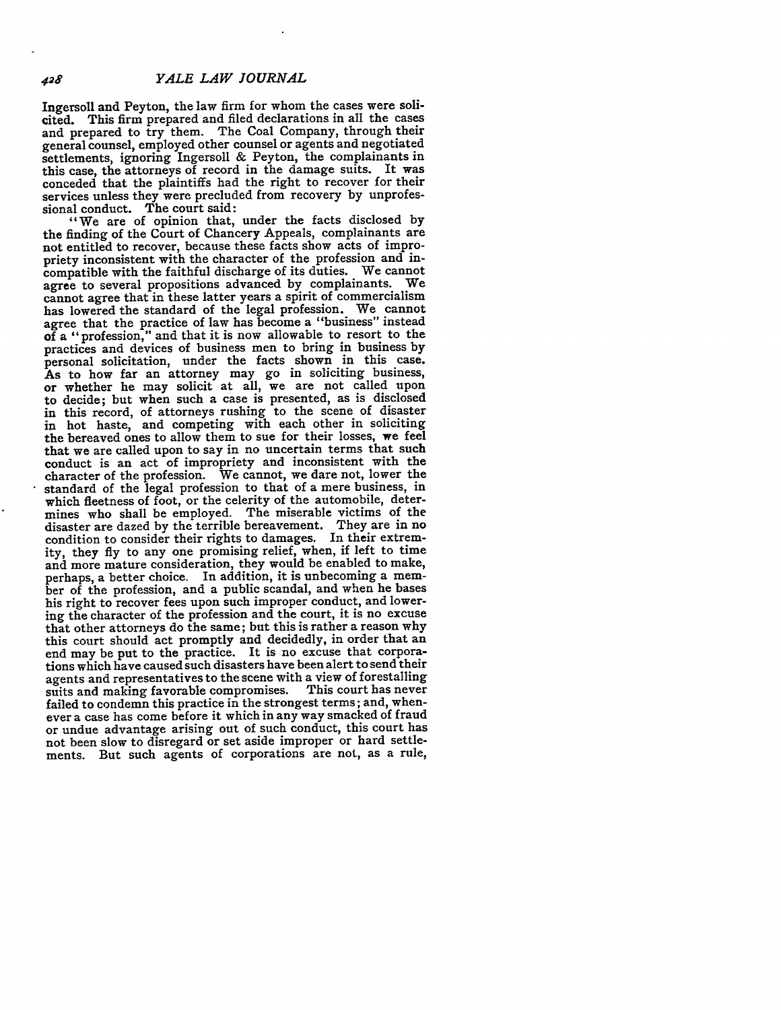Ingersoll and Peyton, the law firm for whom the cases were solicited. This firm prepared and filed declarations in all the cases and prepared to try them. The Coal Company, through their general counsel, employed other counsel or agents and negotiated settlements, ignoring Ingersoll **&** Peyton, the complainants in this case, the attorneys of record in the damage suits. It was conceded that the plaintiffs had the right to recover for their services unless they were precluded from recovery **by** unprofessional conduct. The court said:

"We are of opinion that, under the facts disclosed **by** the finding of the Court of Chancery Appeals, complainants are not entitled to recover, because these facts show acts of impropriety inconsistent with the character of the profession and incompatible with the faithful discharge of its duties. We cannot agree to several propositions advanced **by** complainants. We cannot agree that in these latter years a spirit of commercialism has lowered the standard of the legal profession. We cannot agree that the practice of law has become a "business" instead of a "profession," and that it is now allowable to resort to the practices and devices of business men to bring in business **by** personal solicitation, under the facts shown in this case. As to how far an attorney may go in soliciting business, or whether he may solicit at all, we are not called upon to decide; but when such a case is presented, as is disclosed in this record, of attorneys rushing to the scene of disaster in hot haste, and competing with each other in soliciting the bereaved ones to allow them to sue for their losses, we feel that we are called upon to say in no uncertain terms that such conduct is an act of impropriety and inconsistent with the character of the profession. We cannot, we dare not, lower the standard of the legal profession to that of a mere business, in which fleetness of foot, or the celerity of the automobile, determines who shall be employed. The miserable victims of the disaster are dazed **by** the terrible bereavement. They are in no condition to consider their rights to damages. In their extremity, they **fly** to any one promising relief, when, if left to time and more mature consideration, they would be enabled to make, perhaps, a better choice. In addition, it is unbecoming a member of the profession, and a public scandal, and when he bases his right to recover fees upon such improper conduct, and lowering the character of the profession and the court, it is no excuse that other attorneys do the same; but this is rather a reason why this court should act promptly and decidedly, in order that an end may be put to the practice. It is no excuse that corporations which have caused such disasters have been alert to send their agents and representatives to the scene with a view of forestalling<br>suits and making favorable compromises. This court has never suits and making favorable compromises. failed to condemn this practice in the strongest terms; and, whenever a case has come before it which in any way smacked of fraud or undue advantage arising out of such conduct, this court has not been slow to disregard or set aside improper or hard settlements. But such agents of corporations are not, as a rule,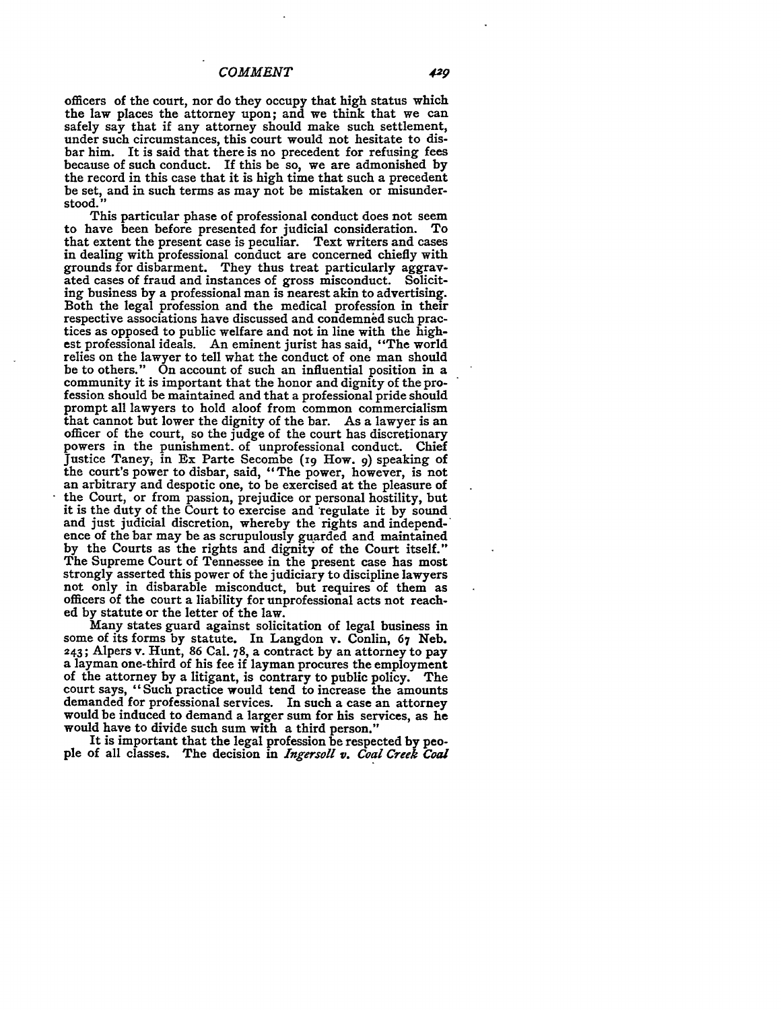officers of the court, nor do they occupy that high status which the law places the attorney upon; and we think that we can safely say that if any attorney should make such settlement, under such circumstances, this court would not hesitate to disbar him. It is said that there is no precedent for refusing fees because of such conduct. If this be so, we are admonished by the record in this case that it is high time that such a precedent be set, and in such terms as may not be mistaken or misunderstood."

This particular phase of professional conduct does not seem to have been before presented for judicial consideration. that extent the present case is peculiar. Text writers and cases in dealing with professional conduct are concerned chiefly with grounds for disbarment. **They** thus treat particularly aggravated cases of fraud and instances of gross misconduct. Soliciting business **by** a professional man is nearest akin to advertising. Both the legal profession and the medical profession in their respective associations have discussed and condemned such practices as opposed to public welfare and not in line with the highest professional ideals. An eminent jurist has said, "The world relies on the lawyer to tell what the conduct of one man should be to others." On account of such an influential position in a community it is important that the honor and dignity of the profession should be maintained and that a professional pride should prompt all lawyers to hold aloof from common commercialism that cannot but lower the dignity of the bar. As a lawyer is an officer of the court, so the judge of the court has discretionary powers in the punishment- of unprofessional conduct. Chief Justice Taney, in Ex Parte Secombe **(i9** How. **9)** speaking of the court's power to disbar, said, "The power, however, is not an arbitrary and despotic one, to be exercised at the pleasure of the Court, or from passion, prejudice or personal hostility, but it is the duty of the Court to exercise and 'regulate it **by** sound and just judicial discretion, whereby the rights and independence of the bar may be as scrupulously guarded and maintained by the Courts as the rights and dignity of the Court itself." The Supreme Court of Tennessee in the present case has most strongly asserted this power of the judiciary to discipline lawyers not only in disbarable misconduct, but requires of them as officers of the court a liability for unprofessional acts not reached by statute or the letter of the law.

Many states guard against solicitation of legal business in some of its forms by statute. In Langdon v. Conlin, **67** Neb. **243;** Alpers v. Hunt, **86** Cal. **78,** a contract by an attorney to pay a layman one-third of his fee if layman procures the employment of the attorney by a litigant, is contrary to public policy. The court says, "Such practice would tend to increase the amounts demanded for professional services. In such a case an attorney would be induced to demand a larger sum for his services, as he would have to divide such sum with a third person."

It is important that the legal profession be respected by people of all classes. The decision in *Ingersoll v. Coal Creek Coal*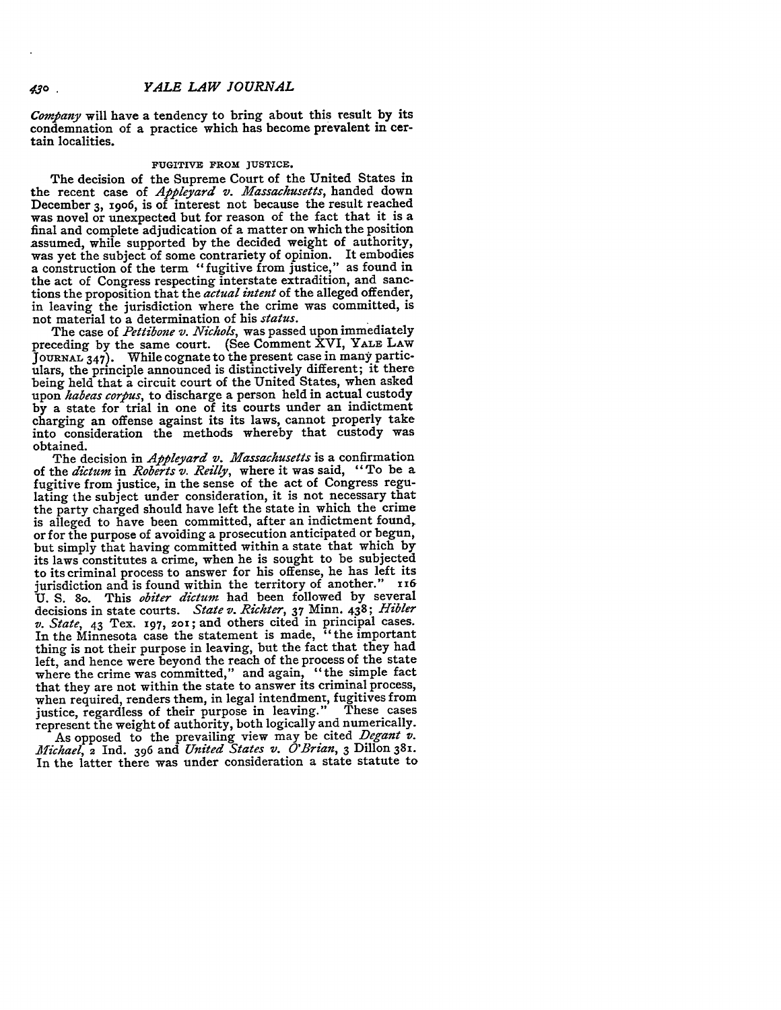*Company* will have a tendency to bring about this result **by** its condemnation of a practice which has become prevalent in certain localities.

#### **FUGITIVE FROM JUSTICE.**

The decision of the Supreme Court of the United States in the recent case of *Appleyard v. Massachusetts,* handed down December 3, **1906,** is of interest not because the result reached was novel or unexpected but for reason of the fact that it is a final and complete adjudication of a matter on which the position assumed, while supported **by** the decided weight of authority, was yet the subject of some contrariety of opinion. It embodies a construction of the term "fugitive from justice," as found in the act of Congress respecting interstate extradition, and sanctions the proposition that the *actual intent* of the alleged offender, in leaving the jurisdiction where the crime was committed, is not material to a determination of his *status.*

The case of *Pettibone v. Nichols,* was passed upon immediately preceding by the same court. (See Comment XVI, YALE LAW **JOURNAL** 347). While cognate to the present case in many particulars, the principle announced is distinctively different; it there being held that a circuit court of the United States, when asked upon *habeas corpus,* to discharge a person held in actual custody **by** a state for trial in one of its courts under an indictment charging an offense against its its laws, cannot properly take into consideration the methods whereby that custody was obtained.

The decision in *Appleyard v. Massachusetts* is a confirmation of the *dictum* in *Roberts v. Reilly,* where it was said, "To be a fugitive from justice, in the sense of the act of Congress regulating the subject under consideration, it is not necessary that the party charged should have left the state in which the crime is alleged to have been committed, after an indictment found, or for the purpose of avoiding a prosecution anticipated or begun, but simply that having committed within a state that which **by** its laws constitutes a crime, when he is sought to be subjected to its criminal process to answer for his offense, he has left its jurisdiction and is found within the territory of another." **i16 U.** S. 8o. This *obiter dictum* had been followed by several decisions in state courts. *State v. Richter,* 37 Minn. 438; *Hibler v. State,* 43 Tex. **197, 2ox;** and others cited in principal cases. In the Minnesota case the statement is made, "the important thing is not their purpose in leaving, but the fact that they had left, and hence were beyond the reach of the process of the state where the crime was committed," and again, "the simple fact that they are not within the state to answer its criminal process, when required, renders them, in legal intendment, fugitives from justice, regardless of their purpose in leaving." These cases represent the weight of authority, both logically and numerically.

As opposed to the prevailing view may be cited *Degant v. Mfichael,* 2 Ind. 396 and *United States v. O'Brian,* 3 Dillon **381.** In the latter there was under consideration a state statute to

**430 .**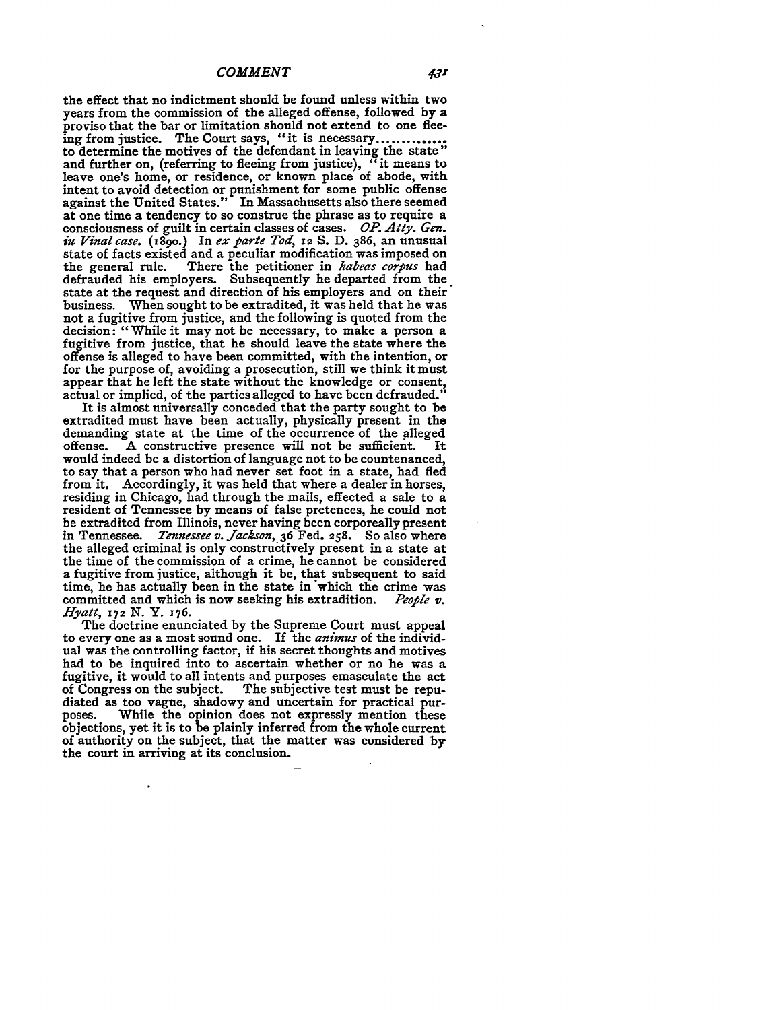the effect that no indictment should be found unless within two years from the commission of the alleged offense, followed **by** a proviso that the bar or limitation should not extend to one fleeing from justice. The Court says, "it is necessary **..............** to determine the motives of the defendant in leaving the state" and further on, (referring to fleeing from justice), "it means to leave one's home, or residence, or known place of abode, with intent to avoid detection or punishment for some public offense against the United States." In Massachusetts also there seemed at one time a tendency to so construe the phrase as to require a consciousness of guilt in certain classes of cases. *OP. Atty. Gen. iu Vinal case.* (1890.) In *ex parte Tod*, **12 S. D.** 386, an unusual state of facts existed and a peculiar modification was imposed on the general rule. There the petitioner in *habeas corpus* had There the petitioner in *habeas corpus* had defrauded his employers. Subsequently he departed from the state at the request and direction of his employers and on their' business. When sought to be extradited, it was held that he was not a fugitive from justice, and the following is quoted from the decision: "While it may not be necessary, to make a person a fugitive from justice, that he should leave the state where the offense is alleged to have been committed, with the intention, or for the purpose of, avoiding a prosecution, still we think it must appear that he left the state without the knowledge or consent, actual or implied, of the parties alleged to have been defrauded."

It is almost universally conceded that the party sought to be extradited must have been actually, physically present in the demanding state at the time of the occurrence of the alleged<br>offense. A constructive presence will not be sufficient. It offense. A constructive presence will not be sufficient. would indeed be a distortion of language not to be countenanced, to say that a person who had never set foot in a state, had fled from it. Accordingly, it was held that where a dealer in horses, residing in Chicago, had through the mails, effected a sale to a resident of Tennessee by means of false pretences, he could not be extradited from Illinois, never having been corporeally present in Tennessee. *Tennessee v. Jackson,* 36 Fed. **258.** So also where the alleged criminal is only constructively present in a state at the time of the commission of a crime, he cannot be considered a fugitive from justice, although it be, that subsequent to said time, he has actually been in the state in which the crime was committed and which is now seeking his extradition. People  $v$ . committed and which is now seeking his extradition. *Hyatt,* **172** N. Y. **176.**

The doctrine enunciated **by** the Supreme Court must appeal to every one as a most sound one. If the *animus* of the individual was the controlling factor, if his secret thoughts and motives had to be inquired into to ascertain whether or no he was a fugitive, it would to all intents and purposes emasculate the act of Congress on the subject. The subjective test must be repudiated as too vague, shadowy and uncertain for practical purposes. While the opinion does not expressly mention these objections, yet it is to be plainly inferred from the whole current of authority on the subject, that the matter was considered **by** the court in arriving at its conclusion.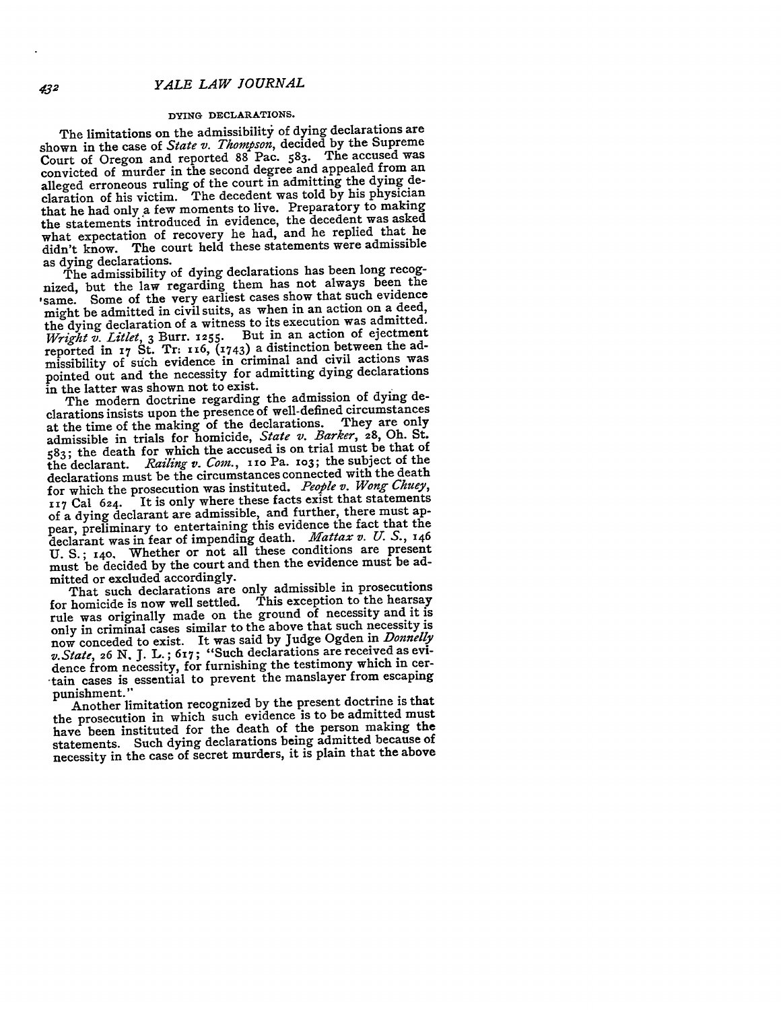#### **DYING DECLARATIONS.**

The limitations on the admissibility of dying declarations are shown in the case of *State v. Thompson,* decided **by** the Supreme Court of Oregon and reported **88** Pac. 583. The accused was convicted of murder in the second degree and appealed from an alleged erroneous ruling of the court in admitting the dying declaration of his victim. The decedent was told by his physician<br>Proposed on the physician that he had only a few moments to live. Preparatory to making the statements introduced in evidence, the decedent was asked what expectation of recovery he had, and he replied that he didn't know. The court held these statements were admissible as dying declarations.

The admissibility of dying declarations has been long recognized, but the law regarding them has not always been the<br>same. Some of the very earliest cases show that such evidence Some of the very earliest cases show that such evidence might be admitted in civil suits, as when in an action on a deed, the dying declaration of a witness to its execution was admitted. *Wright v. Litlet*, 3 Burr. **1255.** But in an action of ejectment reported in 17 St. Tr: 116, (1743) a distinction between the admissibility of such evidence in criminal and civil actions was pointed out and the necessity for admitting dying declarations in the latter was shown not to exist.

The modem doctrine regarding the admission of dying declarations insists upon the presence of well-defined circumstances<br>at the time of the making of the declarations. They are only at the time of the making of the declarations. admissible in trials for homicide, *State v. Barker,* **28,** Oh. St. 583; the death for which the accused is on trial must be that of the declarant. *Railing v. Com.,* **11o** Pa. xo3; the subject of the declarations must be the circumstances connected with the death for which the prosecution was instituted. *People v. Wong Chuey*, 117 Cal 624. It is only where these facts exist that statements It is only where these facts exist that statements of a dying declarant are admissible, and further, there must appear, preliminary to entertaining this evidence the fact that the declarant was in fear of impending death. *Mattax v. U. S., <sup>146</sup>* U. **S.; 140.** Whether or not all these conditions are present must be decided by the court and then the evidence must be admitted or excluded accordingly.

That such declarations are only admissible in prosecutions for homicide is now well settled. This exception to the hearsay rule was originally made on the ground of necessity and it is only in criminal cases similar to the above that such necessity is now conceded to exist. It was said by Judge Ogden in *Donnelly v. State,* 26 N. J. L.; 617; "Such declarations are received as evidence from necessity, for furnishing the testimony which in cer-<br>dence from necessity, for furnishing the usual span from economy tain cases is essential to prevent the manslayer from escaping punishment."

Another limitation recognized by the present doctrine is that the prosecution in which such evidence is to be admitted must have been instituted for the death of the person making the statements. Such dying declarations being admitted because of necessity in the case of secret murders, it is plain that the above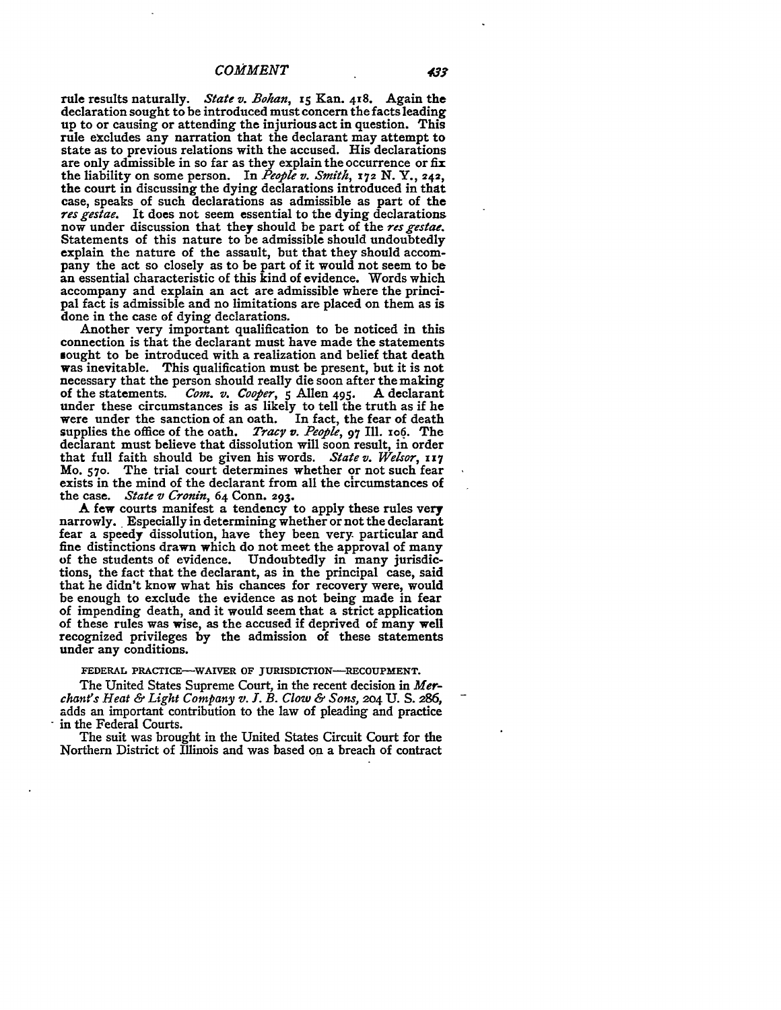rule results naturally. *State v. Bohan, x5* Kan. **418.** Again the declaration sought to be introduced must concern the facts leading up to or causing or attending the injurious act in question. This rule excludes any narration that the declarant may attempt to state as to previous relations with the accused. His declarations are only admissible in so far as they explain the occurrence or **fix** the liability on some person. In *People v. Smith,* **172** N. Y., **242,** the court in discussing the dying declarations introduced in that case, speaks of such declarations as admissible as part of the *res gestae.* It does not seem essential to the dying declarations now under discussion that they should be part of the *res gestae.* Statements of this nature to be admissible should undoubtedly explain the nature of the assault, but that they should accompany the act so closely as to be part of it would not seem to be an essential characteristic of this kind of evidence. Words which accompany and explain an act are admissible where the principal fact is admissible and no limitations are placed on them as is done in the case of dying declarations.

Another very important qualification to be noticed in this connection is that the declarant must have made the statements sought to be introduced with a realization and belief that death was inevitable. This qualification must be present, but it is not necessary that the person should really die soon after the making of the statements. *Com. v. Cooper, 5* Allen 495. A declarant under these circumstances is as likely to tell the truth as if he were under the sanction of an oath. In fact, the fear of death supplies the office of the oath. *Tracv v. People,* **97** Ill. io6. The declarant must believe that dissolution will soon result, in order that full faith should be given his words. *State v. Welsor,* **<sup>117</sup>** Mo. 57o. The trial court determines whether or not such fear exists in the mind of the declarant from all the circumstances of the case. *State v Cronin,* 64 Conn. **293.**

A few courts manifest a tendency to apply these rules very narrowly. Especially in determining whether or not the declarant fear a speedy dissolution, have they been very particular and fine distinctions drawn which do not meet the approval of many of the students of evidence. Undoubtedly in many jurisdictions, the fact that the declarant, as in the principal case, said that he didn't know what his chances for recovery were, would be enough to exclude the evidence as not being made in fear of impending death, and it would seem that a strict application of these rules was wise, as the accused if deprived of many well recognized privileges by the admission of these statements under any conditions.

**FEDERAL PRACTICE-WAIVER OF JURISDICTION-RECOUPMENT.**

The United States Supreme Court, in the recent decision in *Merchant's Heat & Light Company v. I. B. Clow & Sons,* 204 **U. S. 286,** adds an important contribution to the law of pleading and practice in the Federal Courts.

The suit was brought in the United States Circuit Court for the Northern District of Illinois and was based on a breach of contract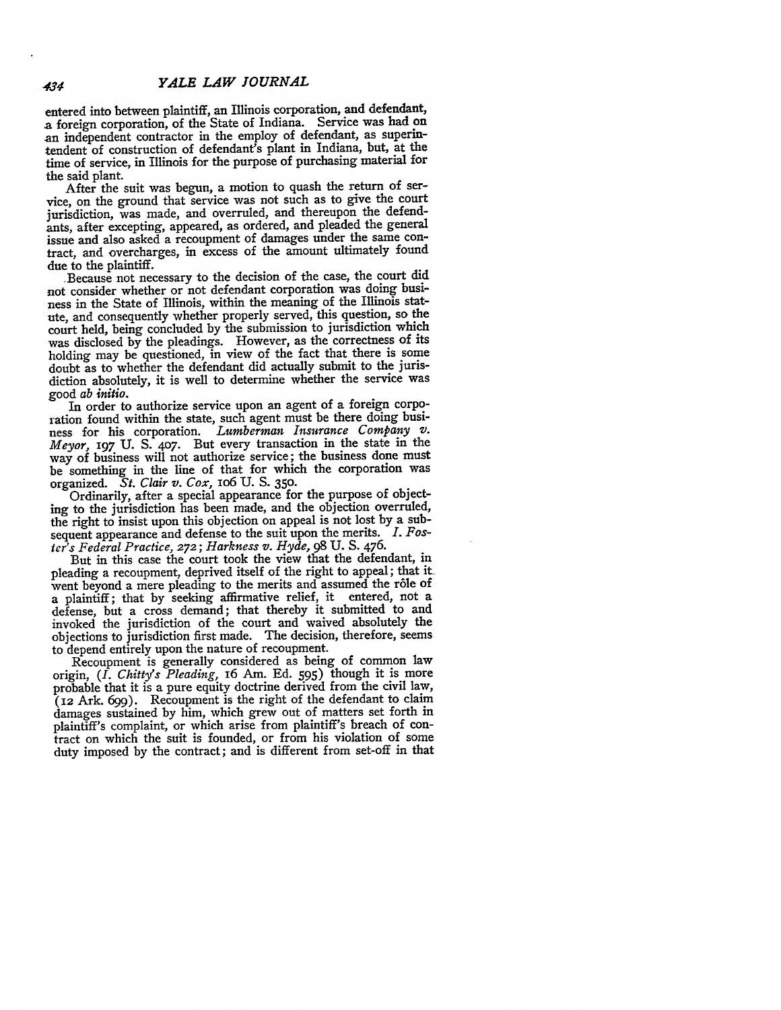entered into between plaintiff, an Illinois corporation, and defendant, a foreign corporation, of the State of Indiana. Service was had on an independent contractor in the employ of defendant, as superintendent of construction of defendant's plant in Indiana, but, at the time of service, in Illinois for the purpose of purchasing material **for** the said plant.

After the suit was begun, a motion to quash the return of service, on the ground that service was not such as to give the court jurisdiction, was made, and overruled, and thereupon the defendants, after excepting, appeared, as ordered, and pleaded the general issue and also asked a recoupment of damages under the same contract, and overcharges, in excess of the amount ultimately found due to the plaintiff.

.Because not necessary to the decision of the case, the court did not consider whether or not defendant corporation was doing business in the State of Illinois, within the meaning of the Illinois statute, and consequently whether properly served, this question, so the court held, being concluded **by** the submission to jurisdiction which was disclosed **by** the pleadings. However, as the correctness of its holding may be questioned, in view of the fact that there is some doubt as to whether the defendant did actually submit to the jurisdiction absolutely, it is well to determine whether the service was good *ab initio.*

In order to authorize service upon an agent of a foreign corporation found within the state, such agent must be there doing business for his corporation. *Lumberman Insurance Company v. Meyor, 197* **U. S. 407.** But every transaction in the state in the way of business will not authorize service; the business done must be something in the line of that for which the corporation was organized. *St. Clair v. Cox,* io6 **U. S. 350.**

Ordinarily, after a special appearance for the purpose of objecting to the jurisdiction has been made, and the objection overruled, the right to insist upon this objection on appeal is not lost by a subsequent appearance and defense to the suit upon the merits. *I. Foster's Federal Practice,* **272;** *Harkness v. Hyde,* **98 U. S.** 476.

But in this case the court took the view that the defendant, in pleading a recoupment, deprived itself of the right to appeal; that itwent beyond a mere pleading to the merits and assumed the r6le of a plaintiff; that **by** seeking affirmative relief, it entered, not a defense, but a cross demand; that thereby it submitted to and invoked the jurisdiction of the court and waived absolutely the objections to jurisdiction first made. The decision, therefore, seems to depend entirely upon the nature of recoupment.

Recoupment is generally considered as being of common law origin, *(I. Chitty's Pleading,* 16 Am. **Ed.** 595) though it is more probable that it is a pure equity doctrine derived from the civil law, **(12** Ark. **699).** Recoupment is the right of the defendant to claim damages sustained **by** him, which grew out of matters set forth in plaintiff's complaint, or which arise from plaintiff's breach of contract on which the suit is founded, or from his violation of some duty imposed **by** the contract; and is different from set-off in that